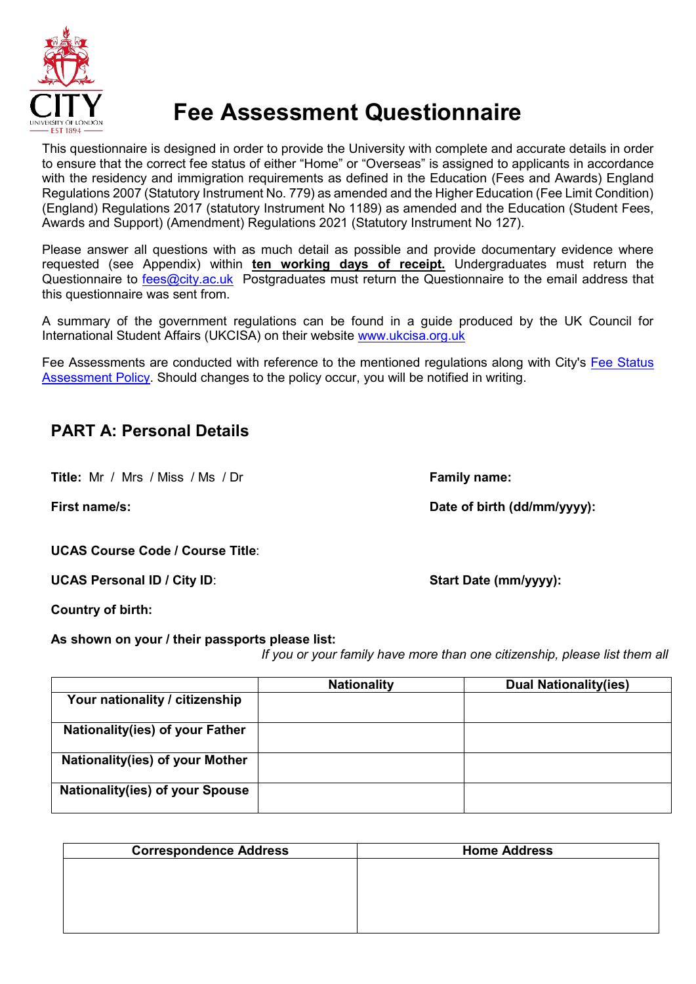

# **Fee Assessment Questionnaire**

This questionnaire is designed in order to provide the University with complete and accurate details in order to ensure that the correct fee status of either "Home" or "Overseas" is assigned to applicants in accordance with the residency and immigration requirements as defined in the Education (Fees and Awards) England Regulations 2007 (Statutory Instrument No. 779) as amended and the Higher Education (Fee Limit Condition) (England) Regulations 2017 (statutory Instrument No 1189) as amended and the Education (Student Fees, Awards and Support) (Amendment) Regulations 2021 (Statutory Instrument No 127).

Please answer all questions with as much detail as possible and provide documentary evidence where requested (see Appendix) within **ten working days of receipt.** Undergraduates must return the Questionnaire to [fees@city.ac.uk](mailto:fees@city.ac.uk) Postgraduates must return the Questionnaire to the email address that this questionnaire was sent from.

A summary of the government regulations can be found in a guide produced by the UK Council for International Student Affairs (UKCISA) on their website [www.ukcisa.org.uk](http://www.ukcisa.org.uk/)

Fee Assessments are conducted with reference to the mentioned regulations along with City's [Fee Status](https://www.city.ac.uk/__data/assets/pdf_file/0005/567122/Fee-Assessment-Policy-2021.pdf)  [Assessment Policy.](https://www.city.ac.uk/__data/assets/pdf_file/0005/567122/Fee-Assessment-Policy-2021.pdf) Should changes to the policy occur, you will be notified in writing.

## **PART A: Personal Details**

**Title:** Mr / Mrs / Miss / Ms / Dr **Family name:**

**First name/s: Date of birth (dd/mm/yyyy):**

**UCAS Course Code / Course Title**:

UCAS Personal ID / City ID: **Start Date (mm/yyyy):** Start Date (mm/yyyy):

**Country of birth:**

**As shown on your / their passports please list:**

*If you or your family have more than one citizenship, please list them all*

|                                        | <b>Nationality</b> | <b>Dual Nationality(ies)</b> |
|----------------------------------------|--------------------|------------------------------|
| Your nationality / citizenship         |                    |                              |
| Nationality(ies) of your Father        |                    |                              |
| Nationality(ies) of your Mother        |                    |                              |
| <b>Nationality(ies) of your Spouse</b> |                    |                              |

| <b>Home Address</b> |
|---------------------|
|                     |
|                     |
|                     |
|                     |
|                     |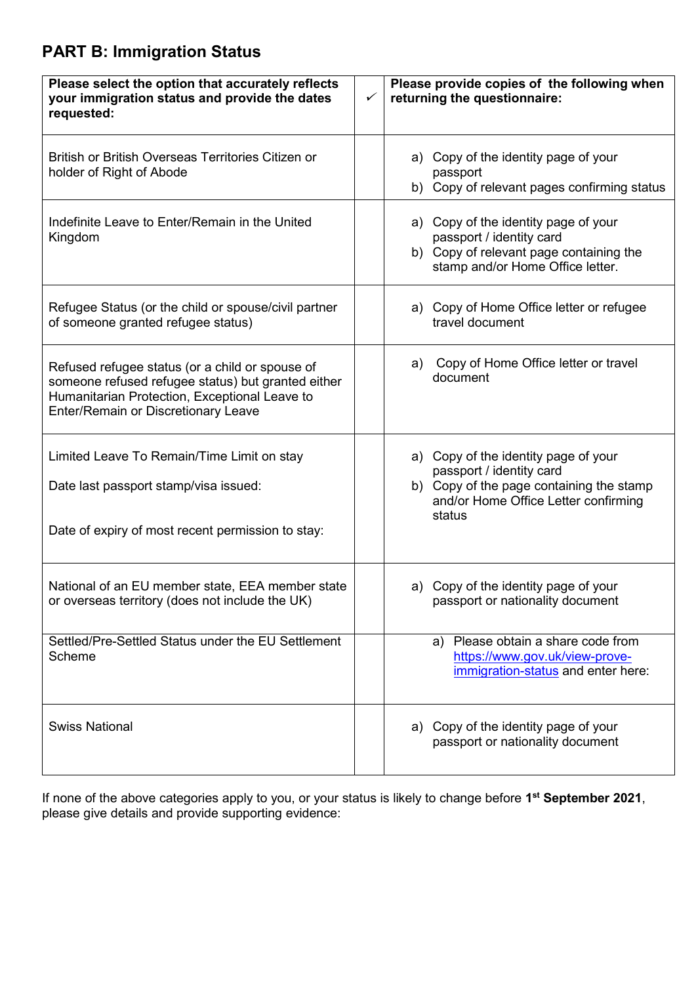## **PART B: Immigration Status**

| Please select the option that accurately reflects<br>your immigration status and provide the dates<br>requested:                                                                              | $\checkmark$ | Please provide copies of the following when<br>returning the questionnaire:                                                                                    |
|-----------------------------------------------------------------------------------------------------------------------------------------------------------------------------------------------|--------------|----------------------------------------------------------------------------------------------------------------------------------------------------------------|
| British or British Overseas Territories Citizen or<br>holder of Right of Abode                                                                                                                |              | a) Copy of the identity page of your<br>passport<br>b) Copy of relevant pages confirming status                                                                |
| Indefinite Leave to Enter/Remain in the United<br>Kingdom                                                                                                                                     |              | a) Copy of the identity page of your<br>passport / identity card<br>b) Copy of relevant page containing the<br>stamp and/or Home Office letter.                |
| Refugee Status (or the child or spouse/civil partner<br>of someone granted refugee status)                                                                                                    |              | a) Copy of Home Office letter or refugee<br>travel document                                                                                                    |
| Refused refugee status (or a child or spouse of<br>someone refused refugee status) but granted either<br>Humanitarian Protection, Exceptional Leave to<br>Enter/Remain or Discretionary Leave |              | Copy of Home Office letter or travel<br>a)<br>document                                                                                                         |
| Limited Leave To Remain/Time Limit on stay<br>Date last passport stamp/visa issued:<br>Date of expiry of most recent permission to stay:                                                      |              | a) Copy of the identity page of your<br>passport / identity card<br>b) Copy of the page containing the stamp<br>and/or Home Office Letter confirming<br>status |
| National of an EU member state, EEA member state<br>or overseas territory (does not include the UK)                                                                                           |              | a) Copy of the identity page of your<br>passport or nationality document                                                                                       |
| Settled/Pre-Settled Status under the EU Settlement<br>Scheme                                                                                                                                  |              | a) Please obtain a share code from<br>https://www.gov.uk/view-prove-<br>immigration-status and enter here:                                                     |
| <b>Swiss National</b>                                                                                                                                                                         |              | a) Copy of the identity page of your<br>passport or nationality document                                                                                       |

If none of the above categories apply to you, or your status is likely to change before **1st September 2021**, please give details and provide supporting evidence: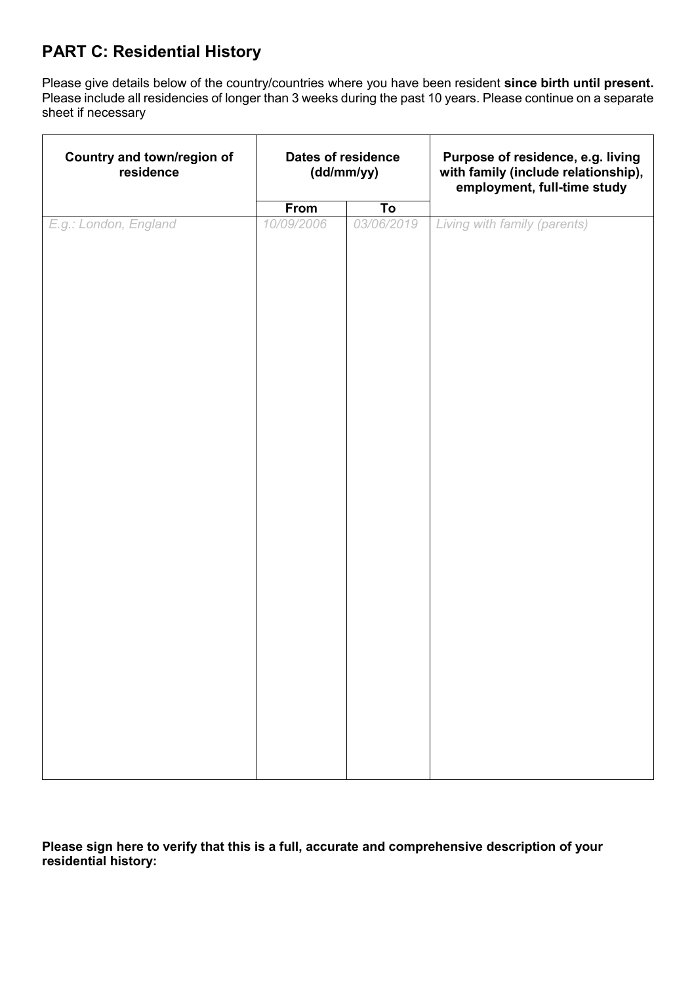## **PART C: Residential History**

Please give details below of the country/countries where you have been resident **since birth until present.**  Please include all residencies of longer than 3 weeks during the past 10 years. Please continue on a separate sheet if necessary

| Country and town/region of<br>residence | Dates of residence<br>(dd/mm/yy) |                                                 | Purpose of residence, e.g. living<br>with family (include relationship),<br>employment, full-time study |
|-----------------------------------------|----------------------------------|-------------------------------------------------|---------------------------------------------------------------------------------------------------------|
|                                         |                                  |                                                 |                                                                                                         |
| E.g.: London, England                   | <b>From</b><br>10/09/2006        | $\overline{\mathsf{T}}\mathsf{o}$<br>03/06/2019 | Living with family (parents)                                                                            |
|                                         |                                  |                                                 |                                                                                                         |

**Please sign here to verify that this is a full, accurate and comprehensive description of your residential history:**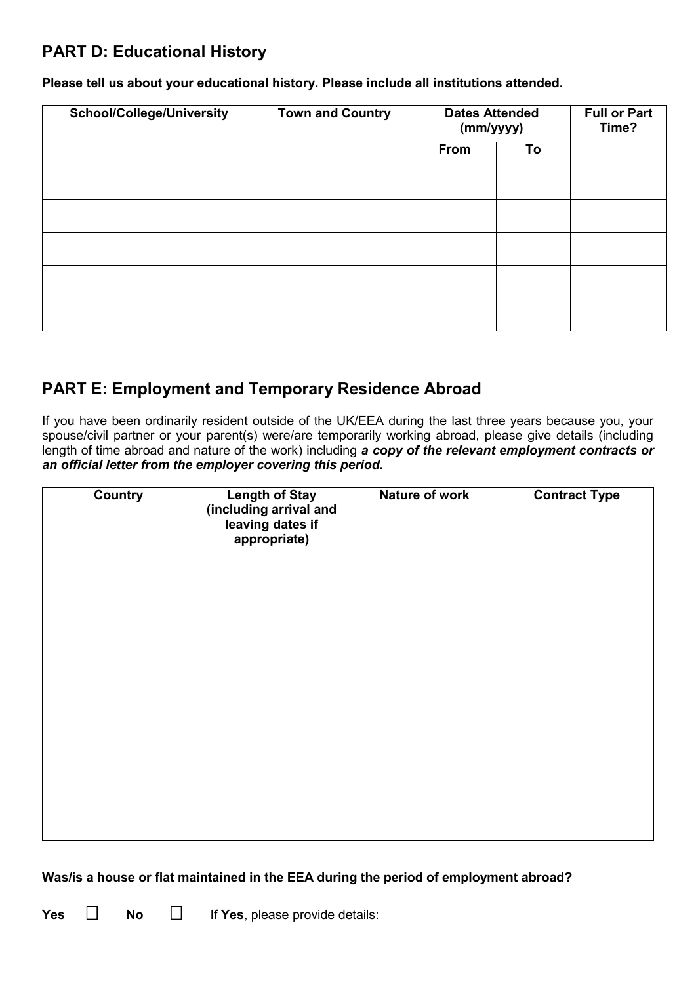## **PART D: Educational History**

**Please tell us about your educational history. Please include all institutions attended.**

| <b>School/College/University</b> | <b>Town and Country</b> | <b>Dates Attended</b><br>(mm/yyyy) |    | <b>Full or Part</b><br>Time? |
|----------------------------------|-------------------------|------------------------------------|----|------------------------------|
|                                  |                         | From                               | To |                              |
|                                  |                         |                                    |    |                              |
|                                  |                         |                                    |    |                              |
|                                  |                         |                                    |    |                              |
|                                  |                         |                                    |    |                              |
|                                  |                         |                                    |    |                              |

#### **PART E: Employment and Temporary Residence Abroad**

If you have been ordinarily resident outside of the UK/EEA during the last three years because you, your spouse/civil partner or your parent(s) were/are temporarily working abroad, please give details (including length of time abroad and nature of the work) including *a copy of the relevant employment contracts or an official letter from the employer covering this period.*

| Country | <b>Length of Stay</b><br>(including arrival and<br>leaving dates if<br>appropriate) | Nature of work | <b>Contract Type</b> |
|---------|-------------------------------------------------------------------------------------|----------------|----------------------|
|         |                                                                                     |                |                      |
|         |                                                                                     |                |                      |
|         |                                                                                     |                |                      |
|         |                                                                                     |                |                      |
|         |                                                                                     |                |                      |

#### **Was/is a house or flat maintained in the EEA during the period of employment abroad?**

**Yes**  $\Box$  **No**  $\Box$  **If Yes**, please provide details: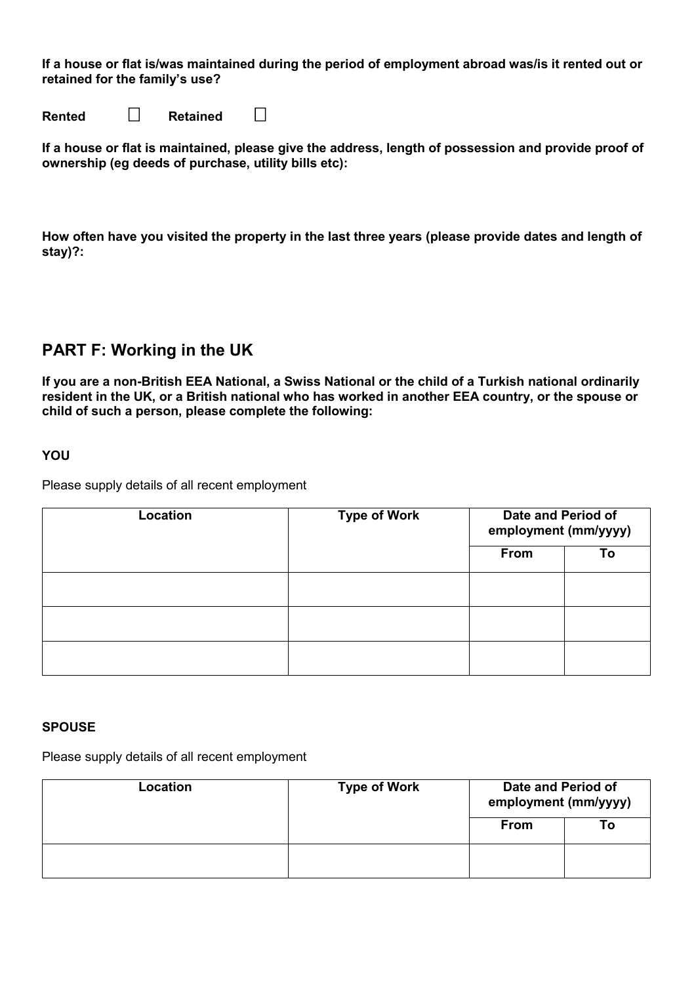**If a house or flat is/was maintained during the period of employment abroad was/is it rented out or retained for the family's use?**

**Rented □ Retained** □

**If a house or flat is maintained, please give the address, length of possession and provide proof of ownership (eg deeds of purchase, utility bills etc):**

**How often have you visited the property in the last three years (please provide dates and length of stay)?:** 

#### **PART F: Working in the UK**

**If you are a non-British EEA National, a Swiss National or the child of a Turkish national ordinarily resident in the UK, or a British national who has worked in another EEA country, or the spouse or child of such a person, please complete the following:**

#### **YOU**

Please supply details of all recent employment

| Location | <b>Type of Work</b> | Date and Period of<br>employment (mm/yyyy) |    |
|----------|---------------------|--------------------------------------------|----|
|          |                     | From                                       | To |
|          |                     |                                            |    |
|          |                     |                                            |    |
|          |                     |                                            |    |

#### **SPOUSE**

Please supply details of all recent employment

| Location | <b>Type of Work</b> | Date and Period of<br>employment (mm/yyyy) |    |
|----------|---------------------|--------------------------------------------|----|
|          |                     | <b>From</b>                                | Гο |
|          |                     |                                            |    |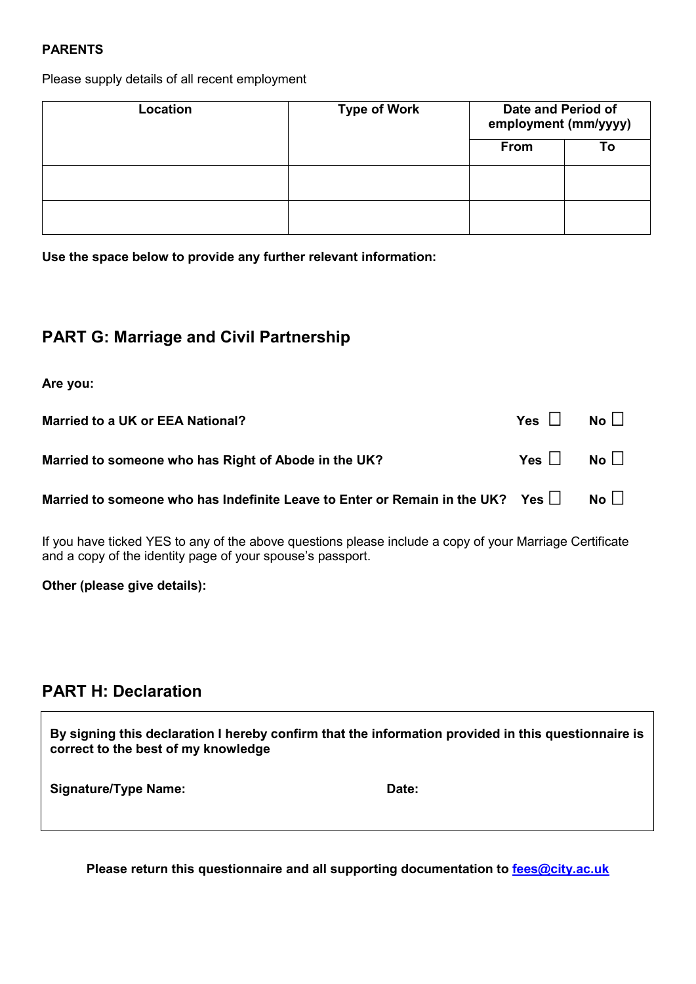#### **PARENTS**

Please supply details of all recent employment

| Location | <b>Type of Work</b> | Date and Period of<br>employment (mm/yyyy) |    |  |
|----------|---------------------|--------------------------------------------|----|--|
|          |                     | <b>From</b>                                | Т٥ |  |
|          |                     |                                            |    |  |
|          |                     |                                            |    |  |

**Use the space below to provide any further relevant information:**

#### **PART G: Marriage and Civil Partnership**

**Are you:**

| Married to a UK or EEA National?                                                               | $Yes \tNo$  |  |
|------------------------------------------------------------------------------------------------|-------------|--|
| Married to someone who has Right of Abode in the UK?                                           | $Yes \tNol$ |  |
| Married to someone who has Indefinite Leave to Enter or Remain in the UK? Yes $\Box$ No $\Box$ |             |  |

If you have ticked YES to any of the above questions please include a copy of your Marriage Certificate and a copy of the identity page of your spouse's passport.

**Other (please give details):**

## **PART H: Declaration**

| By signing this declaration I hereby confirm that the information provided in this questionnaire is<br>correct to the best of my knowledge |  |  |
|--------------------------------------------------------------------------------------------------------------------------------------------|--|--|
| <b>Signature/Type Name:</b><br>Date:                                                                                                       |  |  |

**Please return this questionnaire and all supporting documentation to [fees@city.ac.uk](mailto:fees@city.ac.uk)**